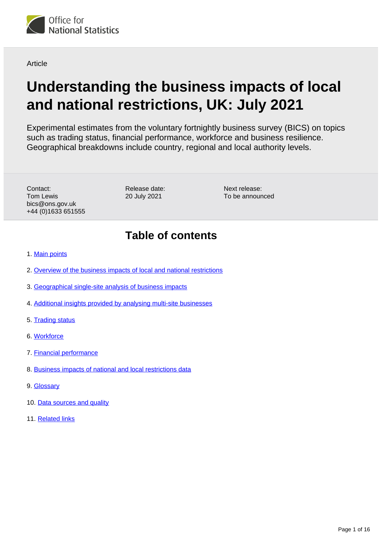

Article

# **Understanding the business impacts of local and national restrictions, UK: July 2021**

Experimental estimates from the voluntary fortnightly business survey (BICS) on topics such as trading status, financial performance, workforce and business resilience. Geographical breakdowns include country, regional and local authority levels.

Contact: Tom Lewis bics@ons.gov.uk +44 (0)1633 651555

Release date: 20 July 2021

Next release: To be announced

## **Table of contents**

- 1. [Main points](#page-1-0)
- 2. [Overview of the business impacts of local and national restrictions](#page-1-1)
- 3. [Geographical single-site analysis of business impacts](#page-2-0)
- 4. [Additional insights provided by analysing multi-site businesses](#page-2-1)
- 5. [Trading status](#page-6-0)
- 6. [Workforce](#page-8-0)
- 7. [Financial performance](#page-10-0)
- 8. [Business impacts of national and local restrictions data](#page-12-0)
- 9. [Glossary](#page-12-1)
- 10. [Data sources and quality](#page-13-0)
- 11. [Related links](#page-15-0)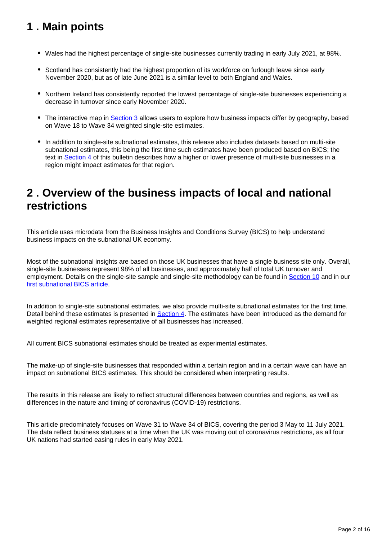## <span id="page-1-0"></span>**1 . Main points**

- Wales had the highest percentage of single-site businesses currently trading in early July 2021, at 98%.
- Scotland has consistently had the highest proportion of its workforce on furlough leave since early November 2020, but as of late June 2021 is a similar level to both England and Wales.
- Northern Ireland has consistently reported the lowest percentage of single-site businesses experiencing a decrease in turnover since early November 2020.
- The interactive map in [Section 3](https://www.ons.gov.uk/businessindustryandtrade/business/businessservices/articles/businessinsightsandimpactontheukandsubnationaleconomy/july2021#geographical-single-site-analysis-of-business-impacts) allows users to explore how business impacts differ by geography, based on Wave 18 to Wave 34 weighted single-site estimates.
- In addition to single-site subnational estimates, this release also includes datasets based on multi-site subnational estimates, this being the first time such estimates have been produced based on BICS; the text in [Section 4](https://www.ons.gov.uk/businessindustryandtrade/business/businessservices/articles/businessinsightsandimpactontheukandsubnationaleconomy/july2021#additional-insights-provided-by-analysing-multi-site-businesses) of this bulletin describes how a higher or lower presence of multi-site businesses in a region might impact estimates for that region.

## <span id="page-1-1"></span>**2 . Overview of the business impacts of local and national restrictions**

This article uses microdata from the Business Insights and Conditions Survey (BICS) to help understand business impacts on the subnational UK economy.

Most of the subnational insights are based on those UK businesses that have a single business site only. Overall, single-site businesses represent 98% of all businesses, and approximately half of total UK turnover and employment. Details on the single-site sample and single-site methodology can be found in [Section 10](https://www.ons.gov.uk/businessindustryandtrade/business/businessservices/articles/businessinsightsandimpactontheukandsubnationaleconomy/july2021#data-sources-and-quality) and in our [first subnational BICS article](https://www.ons.gov.uk/businessindustryandtrade/business/businessservices/articles/businessinsightsandimpactontheukandsubnationaleconomy/2020-12-09).

In addition to single-site subnational estimates, we also provide multi-site subnational estimates for the first time. Detail behind these estimates is presented in [Section 4.](https://www.ons.gov.uk/businessindustryandtrade/business/businessservices/articles/businessinsightsandimpactontheukandsubnationaleconomy/july2021#additional-insights-provided-by-analysing-multi-site-businesses) The estimates have been introduced as the demand for weighted regional estimates representative of all businesses has increased.

All current BICS subnational estimates should be treated as experimental estimates.

The make-up of single-site businesses that responded within a certain region and in a certain wave can have an impact on subnational BICS estimates. This should be considered when interpreting results.

The results in this release are likely to reflect structural differences between countries and regions, as well as differences in the nature and timing of coronavirus (COVID-19) restrictions.

This article predominately focuses on Wave 31 to Wave 34 of BICS, covering the period 3 May to 11 July 2021. The data reflect business statuses at a time when the UK was moving out of coronavirus restrictions, as all four UK nations had started easing rules in early May 2021.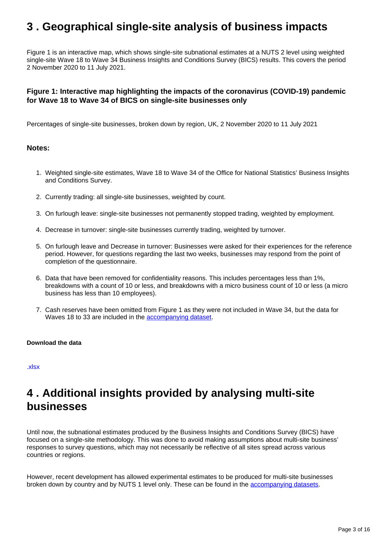## <span id="page-2-0"></span>**3 . Geographical single-site analysis of business impacts**

Figure 1 is an interactive map, which shows single-site subnational estimates at a NUTS 2 level using weighted single-site Wave 18 to Wave 34 Business Insights and Conditions Survey (BICS) results. This covers the period 2 November 2020 to 11 July 2021.

#### **Figure 1: Interactive map highlighting the impacts of the coronavirus (COVID-19) pandemic for Wave 18 to Wave 34 of BICS on single-site businesses only**

Percentages of single-site businesses, broken down by region, UK, 2 November 2020 to 11 July 2021

#### **Notes:**

- 1. Weighted single-site estimates, Wave 18 to Wave 34 of the Office for National Statistics' Business Insights and Conditions Survey.
- 2. Currently trading: all single-site businesses, weighted by count.
- 3. On furlough leave: single-site businesses not permanently stopped trading, weighted by employment.
- 4. Decrease in turnover: single-site businesses currently trading, weighted by turnover.
- 5. On furlough leave and Decrease in turnover: Businesses were asked for their experiences for the reference period. However, for questions regarding the last two weeks, businesses may respond from the point of completion of the questionnaire.
- 6. Data that have been removed for confidentiality reasons. This includes percentages less than 1%, breakdowns with a count of 10 or less, and breakdowns with a micro business count of 10 or less (a micro business has less than 10 employees).
- 7. Cash reserves have been omitted from Figure 1 as they were not included in Wave 34, but the data for Waves 18 to 33 are included in the [accompanying dataset.](https://www.ons.gov.uk/economy/economicoutputandproductivity/output/datasets/businessinsightsandimpactonthesubnationalukeconomy)

#### **Download the data**

[.xlsx](https://www.ons.gov.uk/visualisations/dvc1453/fig1-map/datadownload.xlsx)

## <span id="page-2-1"></span>**4 . Additional insights provided by analysing multi-site businesses**

Until now, the subnational estimates produced by the Business Insights and Conditions Survey (BICS) have focused on a single-site methodology. This was done to avoid making assumptions about multi-site business' responses to survey questions, which may not necessarily be reflective of all sites spread across various countries or regions.

However, recent development has allowed experimental estimates to be produced for multi-site businesses broken down by country and by NUTS 1 level only. These can be found in the [accompanying datasets.](https://www.ons.gov.uk/economy/economicoutputandproductivity/output/datasets/businessinsightsandimpactonthesubnationalukeconomy)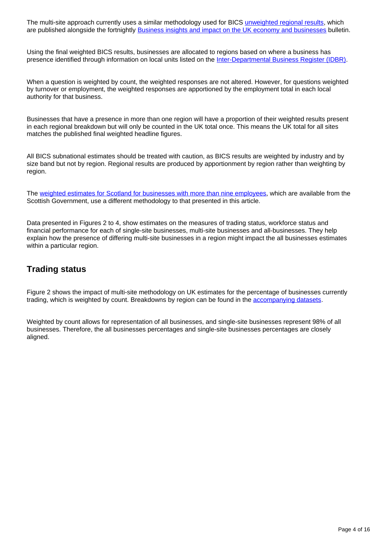The multi-site approach currently uses a similar methodology used for BICS [unweighted regional results,](https://www.ons.gov.uk/businessindustryandtrade/business/businessservices/bulletins/businessinsightsandimpactontheukeconomy/22april2021#measuring-the-data) which are published alongside the fortnightly **Business insights and impact on the UK economy and businesses** bulletin.

Using the final weighted BICS results, businesses are allocated to regions based on where a business has presence identified through information on local units listed on the [Inter-Departmental Business Register \(IDBR\).](https://www.ons.gov.uk/aboutus/whatwedo/paidservices/interdepartmentalbusinessregisteridbr)

When a question is weighted by count, the weighted responses are not altered. However, for questions weighted by turnover or employment, the weighted responses are apportioned by the employment total in each local authority for that business.

Businesses that have a presence in more than one region will have a proportion of their weighted results present in each regional breakdown but will only be counted in the UK total once. This means the UK total for all sites matches the published final weighted headline figures.

All BICS subnational estimates should be treated with caution, as BICS results are weighted by industry and by size band but not by region. Regional results are produced by apportionment by region rather than weighting by region.

The [weighted estimates for Scotland for businesses with more than nine employees](https://www.gov.scot/collections/business-and-innovation-statistics/), which are available from the Scottish Government, use a different methodology to that presented in this article.

Data presented in Figures 2 to 4, show estimates on the measures of trading status, workforce status and financial performance for each of single-site businesses, multi-site businesses and all-businesses. They help explain how the presence of differing multi-site businesses in a region might impact the all businesses estimates within a particular region.

### **Trading status**

Figure 2 shows the impact of multi-site methodology on UK estimates for the percentage of businesses currently trading, which is weighted by count. Breakdowns by region can be found in the [accompanying datasets.](https://www.ons.gov.uk/economy/economicoutputandproductivity/output/datasets/businessinsightsandimpactonthesubnationalukeconomy)

Weighted by count allows for representation of all businesses, and single-site businesses represent 98% of all businesses. Therefore, the all businesses percentages and single-site businesses percentages are closely aligned.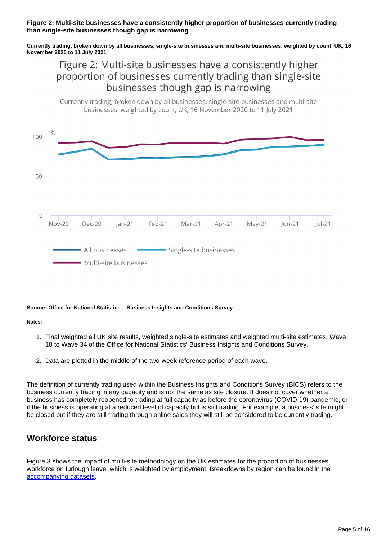#### **Figure 2: Multi-site businesses have a consistently higher proportion of businesses currently trading than single-site businesses though gap is narrowing**

**Currently trading, broken down by all businesses, single-site businesses and multi-site businesses, weighted by count, UK, 16 November 2020 to 11 July 2021**

## Figure 2: Multi-site businesses have a consistently higher proportion of businesses currently trading than single-site businesses though gap is narrowing





#### **Source: Office for National Statistics – Business Insights and Conditions Survey**

**Notes:**

- 1. Final weighted all UK site results, weighted single-site estimates and weighted multi-site estimates, Wave 18 to Wave 34 of the Office for National Statistics' Business Insights and Conditions Survey.
- 2. Data are plotted in the middle of the two-week reference period of each wave.

The definition of currently trading used within the Business Insights and Conditions Survey (BICS) refers to the business currently trading in any capacity and is not the same as site closure. It does not cover whether a business has completely reopened to trading at full capacity as before the coronavirus (COVID-19) pandemic, or if the business is operating at a reduced level of capacity but is still trading. For example, a business' site might be closed but if they are still trading through online sales they will still be considered to be currently trading.

### **Workforce status**

Figure 3 shows the impact of multi-site methodology on the UK estimates for the proportion of businesses' workforce on furlough leave, which is weighted by employment. Breakdowns by region can be found in the [accompanying datasets.](https://www.ons.gov.uk/economy/economicoutputandproductivity/output/datasets/businessinsightsandimpactonthesubnationalukeconomy)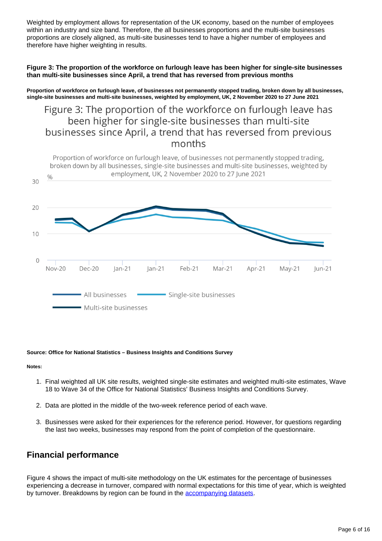Weighted by employment allows for representation of the UK economy, based on the number of employees within an industry and size band. Therefore, the all businesses proportions and the multi-site businesses proportions are closely aligned, as multi-site businesses tend to have a higher number of employees and therefore have higher weighting in results.

#### **Figure 3: The proportion of the workforce on furlough leave has been higher for single-site businesses than multi-site businesses since April, a trend that has reversed from previous months**

**Proportion of workforce on furlough leave, of businesses not permanently stopped trading, broken down by all businesses, single-site businesses and multi-site businesses, weighted by employment, UK, 2 November 2020 to 27 June 2021**

## Figure 3: The proportion of the workforce on furlough leave has been higher for single-site businesses than multi-site businesses since April, a trend that has reversed from previous months



#### **Source: Office for National Statistics – Business Insights and Conditions Survey**

#### **Notes:**

- 1. Final weighted all UK site results, weighted single-site estimates and weighted multi-site estimates, Wave 18 to Wave 34 of the Office for National Statistics' Business Insights and Conditions Survey.
- 2. Data are plotted in the middle of the two-week reference period of each wave.
- 3. Businesses were asked for their experiences for the reference period. However, for questions regarding the last two weeks, businesses may respond from the point of completion of the questionnaire.

### **Financial performance**

Figure 4 shows the impact of multi-site methodology on the UK estimates for the percentage of businesses experiencing a decrease in turnover, compared with normal expectations for this time of year, which is weighted by turnover. Breakdowns by region can be found in the [accompanying datasets](https://www.ons.gov.uk/economy/economicoutputandproductivity/output/datasets/businessinsightsandimpactonthesubnationalukeconomy).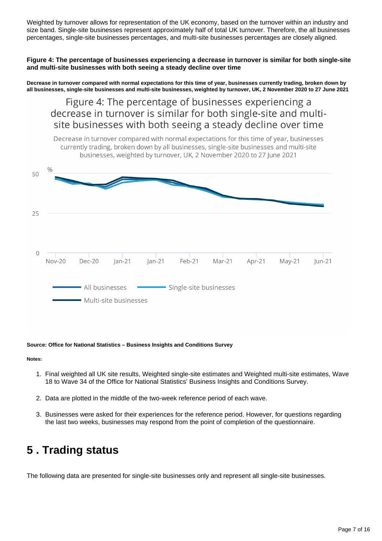Weighted by turnover allows for representation of the UK economy, based on the turnover within an industry and size band. Single-site businesses represent approximately half of total UK turnover. Therefore, the all businesses percentages, single-site businesses percentages, and multi-site businesses percentages are closely aligned.

**Figure 4: The percentage of businesses experiencing a decrease in turnover is similar for both single-site and multi-site businesses with both seeing a steady decline over time**

**Decrease in turnover compared with normal expectations for this time of year, businesses currently trading, broken down by all businesses, single-site businesses and multi-site businesses, weighted by turnover, UK, 2 November 2020 to 27 June 2021**

Figure 4: The percentage of businesses experiencing a decrease in turnover is similar for both single-site and multisite businesses with both seeing a steady decline over time



#### **Source: Office for National Statistics – Business Insights and Conditions Survey**

**Notes:**

- 1. Final weighted all UK site results, Weighted single-site estimates and Weighted multi-site estimates, Wave 18 to Wave 34 of the Office for National Statistics' Business Insights and Conditions Survey.
- 2. Data are plotted in the middle of the two-week reference period of each wave.
- 3. Businesses were asked for their experiences for the reference period. However, for questions regarding the last two weeks, businesses may respond from the point of completion of the questionnaire.

## <span id="page-6-0"></span>**5 . Trading status**

The following data are presented for single-site businesses only and represent all single-site businesses.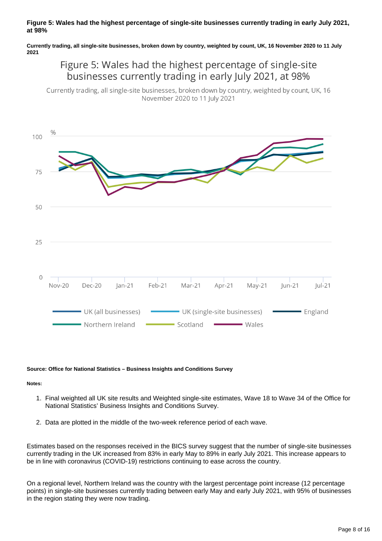#### **Figure 5: Wales had the highest percentage of single-site businesses currently trading in early July 2021, at 98%**

**Currently trading, all single-site businesses, broken down by country, weighted by count, UK, 16 November 2020 to 11 July 2021**

## Figure 5: Wales had the highest percentage of single-site businesses currently trading in early July 2021, at 98%

Currently trading, all single-site businesses, broken down by country, weighted by count, UK, 16 November 2020 to 11 July 2021



#### **Source: Office for National Statistics – Business Insights and Conditions Survey**

#### **Notes:**

- 1. Final weighted all UK site results and Weighted single-site estimates, Wave 18 to Wave 34 of the Office for National Statistics' Business Insights and Conditions Survey.
- 2. Data are plotted in the middle of the two-week reference period of each wave.

Estimates based on the responses received in the BICS survey suggest that the number of single-site businesses currently trading in the UK increased from 83% in early May to 89% in early July 2021. This increase appears to be in line with coronavirus (COVID-19) restrictions continuing to ease across the country.

On a regional level, Northern Ireland was the country with the largest percentage point increase (12 percentage points) in single-site businesses currently trading between early May and early July 2021, with 95% of businesses in the region stating they were now trading.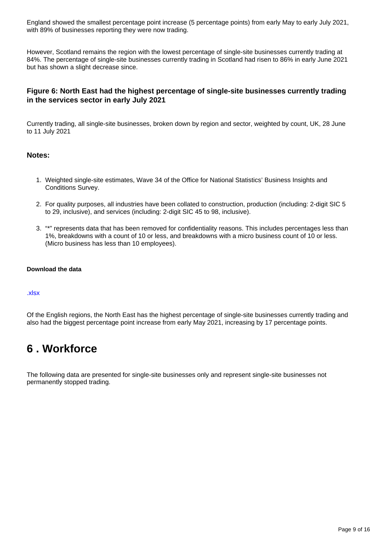England showed the smallest percentage point increase (5 percentage points) from early May to early July 2021, with 89% of businesses reporting they were now trading.

However, Scotland remains the region with the lowest percentage of single-site businesses currently trading at 84%. The percentage of single-site businesses currently trading in Scotland had risen to 86% in early June 2021 but has shown a slight decrease since.

#### **Figure 6: North East had the highest percentage of single-site businesses currently trading in the services sector in early July 2021**

Currently trading, all single-site businesses, broken down by region and sector, weighted by count, UK, 28 June to 11 July 2021

#### **Notes:**

- 1. Weighted single-site estimates, Wave 34 of the Office for National Statistics' Business Insights and Conditions Survey.
- 2. For quality purposes, all industries have been collated to construction, production (including: 2-digit SIC 5 to 29, inclusive), and services (including: 2-digit SIC 45 to 98, inclusive).
- 3. "\*" represents data that has been removed for confidentiality reasons. This includes percentages less than 1%, breakdowns with a count of 10 or less, and breakdowns with a micro business count of 10 or less. (Micro business has less than 10 employees).

#### **Download the data**

#### [.xlsx](https://www.ons.gov.uk/visualisations/dvc1453/fig6-trading-status/datadownload.xlsx)

Of the English regions, the North East has the highest percentage of single-site businesses currently trading and also had the biggest percentage point increase from early May 2021, increasing by 17 percentage points.

## <span id="page-8-0"></span>**6 . Workforce**

The following data are presented for single-site businesses only and represent single-site businesses not permanently stopped trading.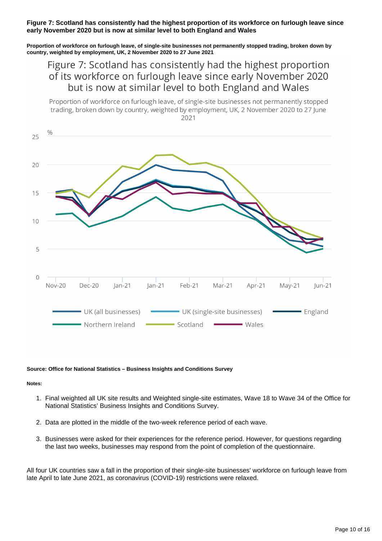#### **Figure 7: Scotland has consistently had the highest proportion of its workforce on furlough leave since early November 2020 but is now at similar level to both England and Wales**

**Proportion of workforce on furlough leave, of single-site businesses not permanently stopped trading, broken down by country, weighted by employment, UK, 2 November 2020 to 27 June 2021**

## Figure 7: Scotland has consistently had the highest proportion of its workforce on furlough leave since early November 2020 but is now at similar level to both England and Wales

Proportion of workforce on furlough leave, of single-site businesses not permanently stopped trading, broken down by country, weighted by employment, UK, 2 November 2020 to 27 June 2021



#### **Source: Office for National Statistics – Business Insights and Conditions Survey**

#### **Notes:**

- 1. Final weighted all UK site results and Weighted single-site estimates, Wave 18 to Wave 34 of the Office for National Statistics' Business Insights and Conditions Survey.
- 2. Data are plotted in the middle of the two-week reference period of each wave.
- 3. Businesses were asked for their experiences for the reference period. However, for questions regarding the last two weeks, businesses may respond from the point of completion of the questionnaire.

All four UK countries saw a fall in the proportion of their single-site businesses' workforce on furlough leave from late April to late June 2021, as coronavirus (COVID-19) restrictions were relaxed.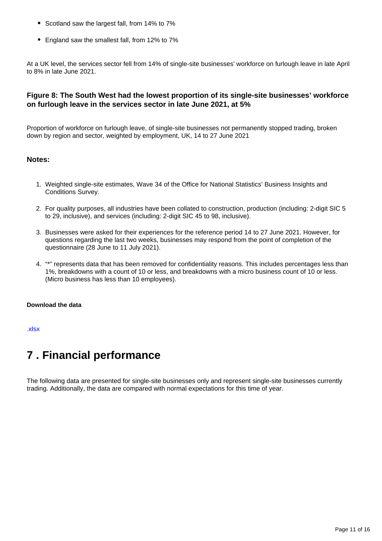- Scotland saw the largest fall, from 14% to 7%
- England saw the smallest fall, from 12% to 7%

At a UK level, the services sector fell from 14% of single-site businesses' workforce on furlough leave in late April to 8% in late June 2021.

#### **Figure 8: The South West had the lowest proportion of its single-site businesses' workforce on furlough leave in the services sector in late June 2021, at 5%**

Proportion of workforce on furlough leave, of single-site businesses not permanently stopped trading, broken down by region and sector, weighted by employment, UK, 14 to 27 June 2021

#### **Notes:**

- 1. Weighted single-site estimates, Wave 34 of the Office for National Statistics' Business Insights and Conditions Survey.
- 2. For quality purposes, all industries have been collated to construction, production (including: 2-digit SIC 5 to 29, inclusive), and services (including: 2-digit SIC 45 to 98, inclusive).
- 3. Businesses were asked for their experiences for the reference period 14 to 27 June 2021. However, for questions regarding the last two weeks, businesses may respond from the point of completion of the questionnaire (28 June to 11 July 2021).
- 4. "\*" represents data that has been removed for confidentiality reasons. This includes percentages less than 1%, breakdowns with a count of 10 or less, and breakdowns with a micro business count of 10 or less. (Micro business has less than 10 employees).

#### **Download the data**

[.xlsx](https://www.ons.gov.uk/visualisations/dvc1453/fig8-workforce/datadownload.xlsx)

## <span id="page-10-0"></span>**7 . Financial performance**

The following data are presented for single-site businesses only and represent single-site businesses currently trading. Additionally, the data are compared with normal expectations for this time of year.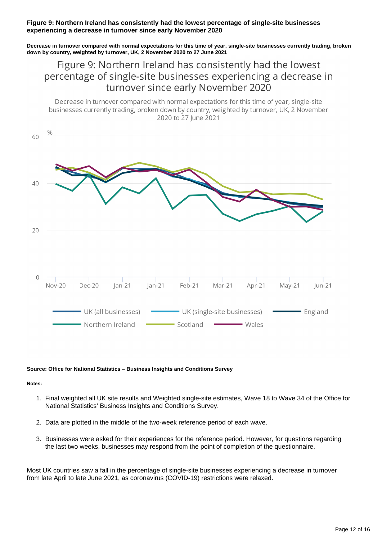#### **Figure 9: Northern Ireland has consistently had the lowest percentage of single-site businesses experiencing a decrease in turnover since early November 2020**

**Decrease in turnover compared with normal expectations for this time of year, single-site businesses currently trading, broken down by country, weighted by turnover, UK, 2 November 2020 to 27 June 2021**

### Figure 9: Northern Ireland has consistently had the lowest percentage of single-site businesses experiencing a decrease in turnover since early November 2020

Decrease in turnover compared with normal expectations for this time of year, single-site businesses currently trading, broken down by country, weighted by turnover, UK, 2 November 2020 to 27 lune 2021



#### **Source: Office for National Statistics – Business Insights and Conditions Survey**

#### **Notes:**

- 1. Final weighted all UK site results and Weighted single-site estimates, Wave 18 to Wave 34 of the Office for National Statistics' Business Insights and Conditions Survey.
- 2. Data are plotted in the middle of the two-week reference period of each wave.
- 3. Businesses were asked for their experiences for the reference period. However, for questions regarding the last two weeks, businesses may respond from the point of completion of the questionnaire.

Most UK countries saw a fall in the percentage of single-site businesses experiencing a decrease in turnover from late April to late June 2021, as coronavirus (COVID-19) restrictions were relaxed.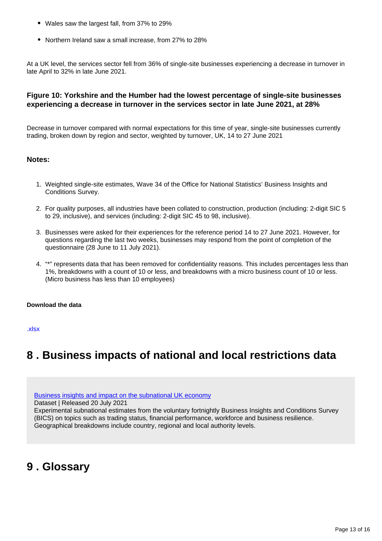- Wales saw the largest fall, from 37% to 29%
- Northern Ireland saw a small increase, from 27% to 28%

At a UK level, the services sector fell from 36% of single-site businesses experiencing a decrease in turnover in late April to 32% in late June 2021.

#### **Figure 10: Yorkshire and the Humber had the lowest percentage of single-site businesses experiencing a decrease in turnover in the services sector in late June 2021, at 28%**

Decrease in turnover compared with normal expectations for this time of year, single-site businesses currently trading, broken down by region and sector, weighted by turnover, UK, 14 to 27 June 2021

#### **Notes:**

- 1. Weighted single-site estimates, Wave 34 of the Office for National Statistics' Business Insights and Conditions Survey.
- 2. For quality purposes, all industries have been collated to construction, production (including: 2-digit SIC 5 to 29, inclusive), and services (including: 2-digit SIC 45 to 98, inclusive).
- 3. Businesses were asked for their experiences for the reference period 14 to 27 June 2021. However, for questions regarding the last two weeks, businesses may respond from the point of completion of the questionnaire (28 June to 11 July 2021).
- 4. "\*" represents data that has been removed for confidentiality reasons. This includes percentages less than 1%, breakdowns with a count of 10 or less, and breakdowns with a micro business count of 10 or less. (Micro business has less than 10 employees)

#### **Download the data**

[.xlsx](https://www.ons.gov.uk/visualisations/dvc1453/fig10-turnover/datadownload.xlsx)

## <span id="page-12-0"></span>**8 . Business impacts of national and local restrictions data**

[Business insights and impact on the subnational UK economy](https://www.ons.gov.uk/economy/economicoutputandproductivity/output/datasets/businessinsightsandimpactonthesubnationalukeconomy)

Dataset | Released 20 July 2021

Experimental subnational estimates from the voluntary fortnightly Business Insights and Conditions Survey (BICS) on topics such as trading status, financial performance, workforce and business resilience. Geographical breakdowns include country, regional and local authority levels.

## <span id="page-12-1"></span>**9 . Glossary**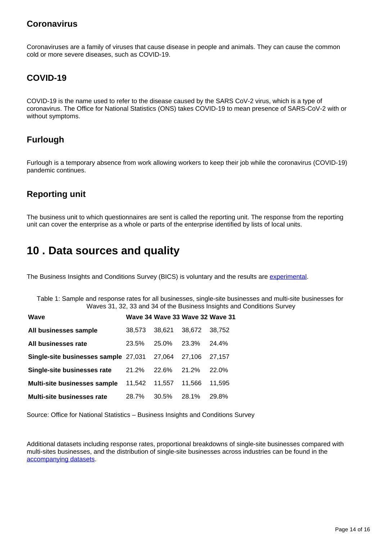### **Coronavirus**

Coronaviruses are a family of viruses that cause disease in people and animals. They can cause the common cold or more severe diseases, such as COVID-19.

### **COVID-19**

COVID-19 is the name used to refer to the disease caused by the SARS CoV-2 virus, which is a type of coronavirus. The Office for National Statistics (ONS) takes COVID-19 to mean presence of SARS-CoV-2 with or without symptoms.

### **Furlough**

Furlough is a temporary absence from work allowing workers to keep their job while the coronavirus (COVID-19) pandemic continues.

### **Reporting unit**

The business unit to which questionnaires are sent is called the reporting unit. The response from the reporting unit can cover the enterprise as a whole or parts of the enterprise identified by lists of local units.

## <span id="page-13-0"></span>**10 . Data sources and quality**

The Business Insights and Conditions Survey (BICS) is voluntary and the results are [experimental](https://www.ons.gov.uk/methodology/methodologytopicsandstatisticalconcepts/guidetoexperimentalstatistics).

Table 1: Sample and response rates for all businesses, single-site businesses and multi-site businesses for Waves 31, 32, 33 and 34 of the Business Insights and Conditions Survey

| Wave                                 |        |        | Wave 34 Wave 33 Wave 32 Wave 31 |          |
|--------------------------------------|--------|--------|---------------------------------|----------|
| All businesses sample                | 38.573 | 38,621 | 38.672                          | 38.752   |
| All businesses rate                  | 23.5%  | 25.0%  | 23.3%                           | 24.4%    |
| Single-site businesses sample 27,031 |        | 27.064 | 27.106                          | 27.157   |
| Single-site businesses rate          | 21.2%  | 22.6%  | 21.2%                           | $22.0\%$ |
| <b>Multi-site businesses sample</b>  | 11.542 | 11.557 | 11.566                          | 11.595   |
| <b>Multi-site businesses rate</b>    | 28.7%  | 30.5%  | 28.1%                           | 29.8%    |

Source: Office for National Statistics – Business Insights and Conditions Survey

Additional datasets including response rates, proportional breakdowns of single-site businesses compared with multi-sites businesses, and the distribution of single-site businesses across industries can be found in the [accompanying datasets.](https://www.ons.gov.uk/economy/economicoutputandproductivity/output/datasets/businessinsightsandimpactonthesubnationalukeconomy)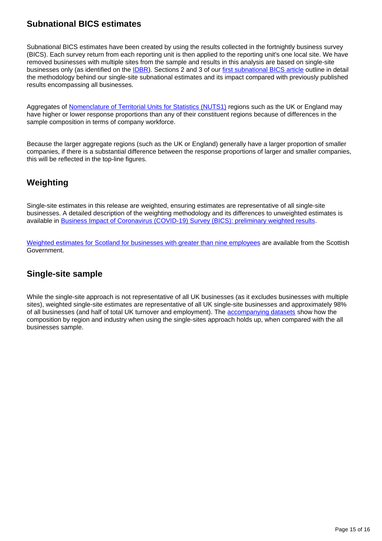### **Subnational BICS estimates**

Subnational BICS estimates have been created by using the results collected in the fortnightly business survey (BICS). Each survey return from each reporting unit is then applied to the reporting unit's one local site. We have removed businesses with multiple sites from the sample and results in this analysis are based on single-site businesses only (as identified on the **IDBR)**. Sections 2 and 3 of our [first subnational BICS article](https://www.ons.gov.uk/businessindustryandtrade/business/businessservices/articles/businessinsightsandimpactontheukandsubnationaleconomy/2020-12-09) outline in detail the methodology behind our single-site subnational estimates and its impact compared with previously published results encompassing all businesses.

Aggregates of [Nomenclature of Territorial Units for Statistics \(NUTS1\)](https://www.ons.gov.uk/methodology/geography/ukgeographies/eurostat) regions such as the UK or England may have higher or lower response proportions than any of their constituent regions because of differences in the sample composition in terms of company workforce.

Because the larger aggregate regions (such as the UK or England) generally have a larger proportion of smaller companies, if there is a substantial difference between the response proportions of larger and smaller companies, this will be reflected in the top-line figures.

### **Weighting**

Single-site estimates in this release are weighted, ensuring estimates are representative of all single-site businesses. A detailed description of the weighting methodology and its differences to unweighted estimates is available in [Business Impact of Coronavirus \(COVID-19\) Survey \(BICS\): preliminary weighted results](https://www.ons.gov.uk/businessindustryandtrade/business/businessservices/articles/businessimpactofcoronaviruscovid19survey/preliminaryweightedresults).

[Weighted estimates for Scotland for businesses with greater than nine employees](https://www.gov.scot/collections/business-and-innovation-statistics/) are available from the Scottish Government.

### **Single-site sample**

While the single-site approach is not representative of all UK businesses (as it excludes businesses with multiple sites), weighted single-site estimates are representative of all UK single-site businesses and approximately 98% of all businesses (and half of total UK turnover and employment). The [accompanying datasets](https://www.ons.gov.uk/economy/economicoutputandproductivity/output/datasets/businessinsightsandimpactonthesubnationalukeconomy) show how the composition by region and industry when using the single-sites approach holds up, when compared with the all businesses sample.